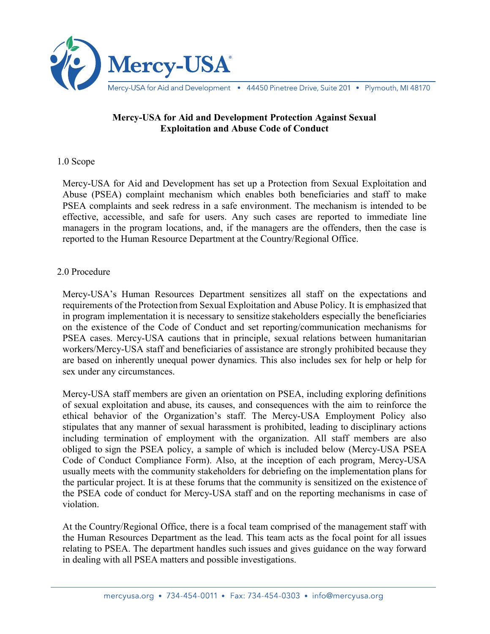

Mercy-USA for Aid and Development • 44450 Pinetree Drive, Suite 201 • Plymouth, MI 48170

## **Mercy-USA for Aid and Development Protection Against Sexual Exploitation and Abuse Code of Conduct**

## 1.0 Scope

Mercy-USA for Aid and Development has set up a Protection from Sexual Exploitation and Abuse (PSEA) complaint mechanism which enables both beneficiaries and staff to make PSEA complaints and seek redress in a safe environment. The mechanism is intended to be effective, accessible, and safe for users. Any such cases are reported to immediate line managers in the program locations, and, if the managers are the offenders, then the case is reported to the Human Resource Department at the Country/Regional Office.

## 2.0 Procedure

Mercy-USA's Human Resources Department sensitizes all staff on the expectations and requirements of the Protection from Sexual Exploitation and Abuse Policy. It is emphasized that in program implementation it is necessary to sensitize stakeholders especially the beneficiaries on the existence of the Code of Conduct and set reporting/communication mechanisms for PSEA cases. Mercy-USA cautions that in principle, sexual relations between humanitarian workers/Mercy-USA staff and beneficiaries of assistance are strongly prohibited because they are based on inherently unequal power dynamics. This also includes sex for help or help for sex under any circumstances.

Mercy-USA staff members are given an orientation on PSEA, including exploring definitions of sexual exploitation and abuse, its causes, and consequences with the aim to reinforce the ethical behavior of the Organization's staff. The Mercy-USA Employment Policy also stipulates that any manner of sexual harassment is prohibited, leading to disciplinary actions including termination of employment with the organization. All staff members are also obliged to sign the PSEA policy, a sample of which is included below (Mercy-USA PSEA Code of Conduct Compliance Form). Also, at the inception of each program, Mercy-USA usually meets with the community stakeholders for debriefing on the implementation plans for the particular project. It is at these forums that the community is sensitized on the existence of the PSEA code of conduct for Mercy-USA staff and on the reporting mechanisms in case of violation.

At the Country/Regional Office, there is a focal team comprised of the management staff with the Human Resources Department as the lead. This team acts as the focal point for all issues relating to PSEA. The department handles such issues and gives guidance on the way forward in dealing with all PSEA matters and possible investigations.